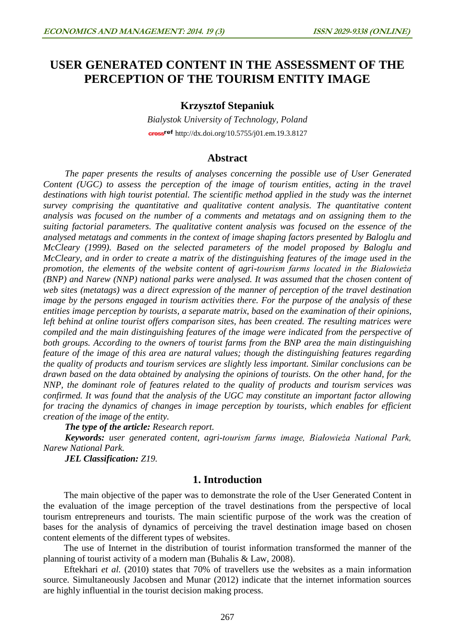# **USER GENERATED CONTENT IN THE ASSESSMENT OF THE PERCEPTION OF THE TOURISM ENTITY IMAGE**

## **Krzysztof Stepaniuk**

*Bialystok University of Technology, Poland* cross<sup>ref</sup> <http://dx.doi.org/10.5755/j01.em.19.3.8127>

## **Abstract**

*The paper presents the results of analyses concerning the possible use of User Generated Content (UGC) to assess the perception of the image of tourism entities, acting in the travel*  destinations with high tourist potential. The scientific method applied in the study was the internet *survey comprising the quantitative and qualitative content analysis. The quantitative content analysis was focused on the number of a comments and metatags and on assigning them to the suiting factorial parameters. The qualitative content analysis was focused on the essence of the analysed metatags and comments in the context of image shaping factors presented by Baloglu and McCleary (1999). Based on the selected parameters of the model proposed by Baloglu and McCleary, and in order to create a matrix of the distinguishing features of the image used in the promotion, the elements of the website content of agri-tourism farms located in the Białowieża (BNP) and Narew (NNP) national parks were analysed. It was assumed that the chosen content of web sites (metatags) was a direct expression of the manner of perception of the travel destination image by the persons engaged in tourism activities there. For the purpose of the analysis of these entities image perception by tourists, a separate matrix, based on the examination of their opinions, left behind at online tourist offers comparison sites, has been created. The resulting matrices were compiled and the main distinguishing features of the image were indicated from the perspective of both groups. According to the owners of tourist farms from the BNP area the main distinguishing feature of the image of this area are natural values; though the distinguishing features regarding the quality of products and tourism services are slightly less important. Similar conclusions can be drawn based on the data obtained by analysing the opinions of tourists. On the other hand, for the NNP, the dominant role of features related to the quality of products and tourism services was confirmed. It was found that the analysis of the UGC may constitute an important factor allowing for tracing the dynamics of changes in image perception by tourists, which enables for efficient creation of the image of the entity.*

*The type of the article: Research report.*

*Keywords: user generated content, agri-tourism farms image, Białowieża National Park, Narew National Park.*

*JEL Classification: Z19.*

## **1. Introduction**

The main objective of the paper was to demonstrate the role of the User Generated Content in the evaluation of the image perception of the travel destinations from the perspective of local tourism entrepreneurs and tourists. The main scientific purpose of the work was the creation of bases for the analysis of dynamics of perceiving the travel destination image based on chosen content elements of the different types of websites.

The use of Internet in the distribution of tourist information transformed the manner of the planning of tourist activity of a modern man (Buhalis & Law, 2008).

Eftekhari *et al.* (2010) states that 70% of travellers use the websites as a main information source. Simultaneously Jacobsen and Munar (2012) indicate that the internet information sources are highly influential in the tourist decision making process.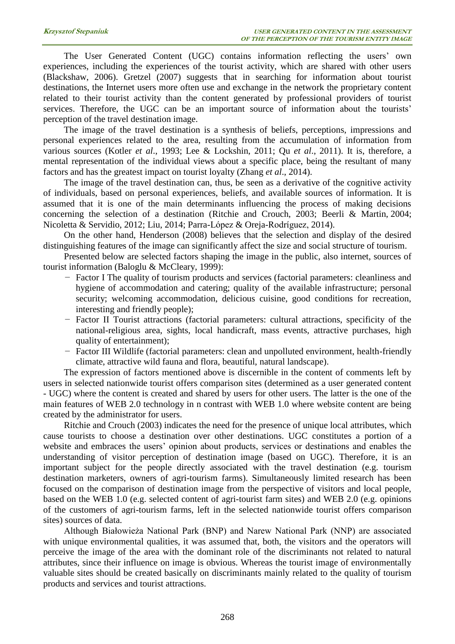The User Generated Content (UGC) contains information reflecting the users' own experiences, including the experiences of the tourist activity, which are shared with other users (Blackshaw, 2006). Gretzel (2007) suggests that in searching for information about tourist destinations, the Internet users more often use and exchange in the network the proprietary content related to their tourist activity than the content generated by professional providers of tourist services. Therefore, the UGC can be an important source of information about the tourists' perception of the travel destination image.

The image of the travel destination is a synthesis of beliefs, perceptions, impressions and personal experiences related to the area, resulting from the accumulation of information from various sources (Kotler *et al*., 1993; Lee & Lockshin, 2011; Qu *et al*., 2011). It is, therefore, a mental representation of the individual views about a specific place, being the resultant of many factors and has the greatest impact on tourist loyalty (Zhang *et al*., 2014).

The image of the travel destination can, thus, be seen as a derivative of the cognitive activity of individuals, based on personal experiences, beliefs, and available sources of information. It is assumed that it is one of the main determinants influencing the process of making decisions concerning the selection of a destination (Ritchie and Crouch, 2003; Beerli & Martin, 2004; Nicoletta & Servidio, 2012; Liu, 2014; Parra-López & Oreja-Rodríguez, 2014).

On the other hand, Henderson (2008) believes that the selection and display of the desired distinguishing features of the image can significantly affect the size and social structure of tourism.

Presented below are selected factors shaping the image in the public, also internet, sources of tourist information (Baloglu & McCleary, 1999):

- − Factor I The quality of tourism products and services (factorial parameters: cleanliness and hygiene of accommodation and catering; quality of the available infrastructure; personal security; welcoming accommodation, delicious cuisine, good conditions for recreation, interesting and friendly people);
- − Factor II Tourist attractions (factorial parameters: cultural attractions, specificity of the national-religious area, sights, local handicraft, mass events, attractive purchases, high quality of entertainment);
- − Factor III Wildlife (factorial parameters: clean and unpolluted environment, health-friendly climate, attractive wild fauna and flora, beautiful, natural landscape).

The expression of factors mentioned above is discernible in the content of comments left by users in selected nationwide tourist offers comparison sites (determined as a user generated content - UGC) where the content is created and shared by users for other users. The latter is the one of the main features of WEB 2.0 technology in n contrast with WEB 1.0 where website content are being created by the administrator for users.

Ritchie and Crouch (2003) indicates the need for the presence of unique local attributes, which cause tourists to choose a destination over other destinations. UGC constitutes a portion of a website and embraces the users' opinion about products, services or destinations and enables the understanding of visitor perception of destination image (based on UGC). Therefore, it is an important subject for the people directly associated with the travel destination (e.g. tourism destination marketers, owners of agri-tourism farms). Simultaneously limited research has been focused on the comparison of destination image from the perspective of visitors and local people, based on the WEB 1.0 (e.g. selected content of agri-tourist farm sites) and WEB 2.0 (e.g. opinions of the customers of agri-tourism farms, left in the selected nationwide tourist offers comparison sites) sources of data.

Although Białowieża National Park (BNP) and Narew National Park (NNP) are associated with unique environmental qualities, it was assumed that, both, the visitors and the operators will perceive the image of the area with the dominant role of the discriminants not related to natural attributes, since their influence on image is obvious. Whereas the tourist image of environmentally valuable sites should be created basically on discriminants mainly related to the quality of tourism products and services and tourist attractions.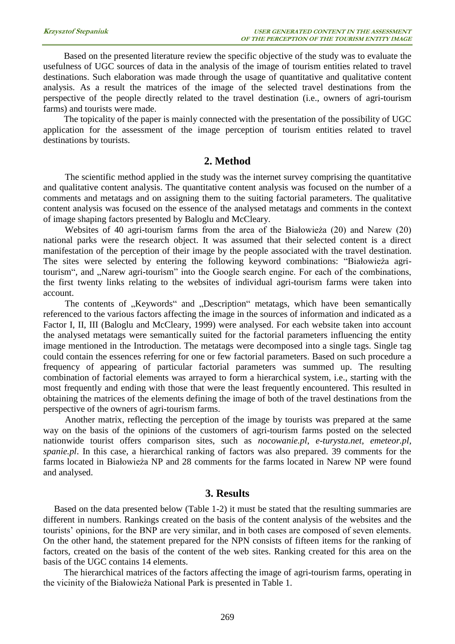Based on the presented literature review the specific objective of the study was to evaluate the usefulness of UGC sources of data in the analysis of the image of tourism entities related to travel destinations. Such elaboration was made through the usage of quantitative and qualitative content analysis. As a result the matrices of the image of the selected travel destinations from the perspective of the people directly related to the travel destination (i.e., owners of agri-tourism farms) and tourists were made.

The topicality of the paper is mainly connected with the presentation of the possibility of UGC application for the assessment of the image perception of tourism entities related to travel destinations by tourists.

#### **2. Method**

The scientific method applied in the study was the internet survey comprising the quantitative and qualitative content analysis. The quantitative content analysis was focused on the number of a comments and metatags and on assigning them to the suiting factorial parameters. The qualitative content analysis was focused on the essence of the analysed metatags and comments in the context of image shaping factors presented by Baloglu and McCleary.

Websites of 40 agri-tourism farms from the area of the Białowieża (20) and Narew (20) national parks were the research object. It was assumed that their selected content is a direct manifestation of the perception of their image by the people associated with the travel destination. The sites were selected by entering the following keyword combinations: "Białowieża agritourism", and "Narew agri-tourism" into the Google search engine. For each of the combinations, the first twenty links relating to the websites of individual agri-tourism farms were taken into account.

The contents of "Keywords" and "Description" metatags, which have been semantically referenced to the various factors affecting the image in the sources of information and indicated as a Factor I, II, III (Baloglu and McCleary, 1999) were analysed. For each website taken into account the analysed metatags were semantically suited for the factorial parameters influencing the entity image mentioned in the Introduction. The metatags were decomposed into a single tags. Single tag could contain the essences referring for one or few factorial parameters. Based on such procedure a frequency of appearing of particular factorial parameters was summed up. The resulting combination of factorial elements was arrayed to form a hierarchical system, i.e., starting with the most frequently and ending with those that were the least frequently encountered. This resulted in obtaining the matrices of the elements defining the image of both of the travel destinations from the perspective of the owners of agri-tourism farms.

Another matrix, reflecting the perception of the image by tourists was prepared at the same way on the basis of the opinions of the customers of agri-tourism farms posted on the selected nationwide tourist offers comparison sites, such as *nocowanie.pl*, *e-turysta.net*, *emeteor.pl*, *spanie.pl*. In this case, a hierarchical ranking of factors was also prepared. 39 comments for the farms located in Białowieża NP and 28 comments for the farms located in Narew NP were found and analysed.

## **3. Results**

Based on the data presented below (Table 1-2) it must be stated that the resulting summaries are different in numbers. Rankings created on the basis of the content analysis of the websites and the tourists' opinions, for the BNP are very similar, and in both cases are composed of seven elements. On the other hand, the statement prepared for the NPN consists of fifteen items for the ranking of factors, created on the basis of the content of the web sites. Ranking created for this area on the basis of the UGC contains 14 elements.

The hierarchical matrices of the factors affecting the image of agri-tourism farms, operating in the vicinity of the Białowieża National Park is presented in Table 1.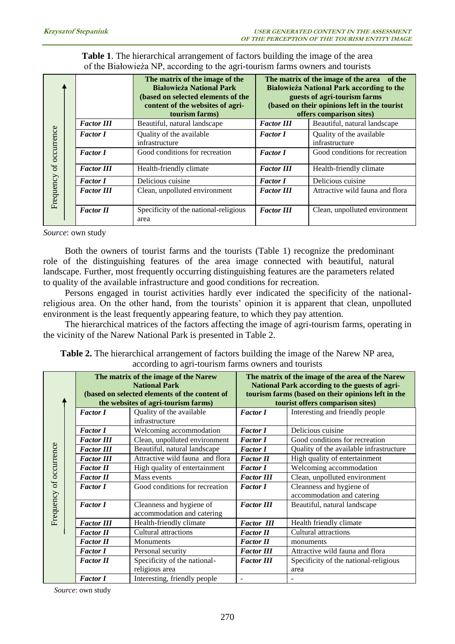**Table 1**. The hierarchical arrangement of factors building the image of the area of the Białowieża NP, according to the agri-tourism farms owners and tourists

|            |  |                   | The matrix of the image of the<br><b>Białowieża National Park</b><br>(based on selected elements of the<br>content of the websites of agri-<br>tourism farms) | The matrix of the image of the area of the<br><b>Białowieża National Park according to the</b><br>guests of agri-tourism farms<br>(based on their opinions left in the tourist<br>offers comparison sites) |                                            |  |
|------------|--|-------------------|---------------------------------------------------------------------------------------------------------------------------------------------------------------|------------------------------------------------------------------------------------------------------------------------------------------------------------------------------------------------------------|--------------------------------------------|--|
|            |  | <b>Factor III</b> | Beautiful, natural landscape                                                                                                                                  | <b>Factor III</b>                                                                                                                                                                                          | Beautiful, natural landscape               |  |
| occurrence |  | <b>Factor I</b>   | Quality of the available<br>infrastructure                                                                                                                    | <b>Factor I</b>                                                                                                                                                                                            | Quality of the available<br>infrastructure |  |
|            |  | <b>Factor I</b>   | Good conditions for recreation                                                                                                                                | <b>Factor I</b>                                                                                                                                                                                            | Good conditions for recreation             |  |
| $\sigma$   |  | <b>Factor III</b> | Health-friendly climate                                                                                                                                       | <b>Factor III</b>                                                                                                                                                                                          | Health-friendly climate                    |  |
|            |  | <b>Factor I</b>   | Delicious cuisine                                                                                                                                             | <b>Factor I</b>                                                                                                                                                                                            | Delicious cuisine                          |  |
| Frequency  |  | <b>Factor III</b> | Clean, unpolluted environment                                                                                                                                 | <b>Factor III</b>                                                                                                                                                                                          | Attractive wild fauna and flora            |  |
|            |  | <b>Factor II</b>  | Specificity of the national-religious<br>area                                                                                                                 | <b>Factor III</b>                                                                                                                                                                                          | Clean, unpolluted environment              |  |

| Frequency of occurrence | <b>Factor I</b>                      | Quality of the available<br>infrastructure                                                                                                                                                                                                                                                       | <b>Factor I</b>                                    | Quality of the available<br>infrastructure                                                                                                                                                                                                                                                                                                                                                                                                                                                                                                                                                          |  |
|-------------------------|--------------------------------------|--------------------------------------------------------------------------------------------------------------------------------------------------------------------------------------------------------------------------------------------------------------------------------------------------|----------------------------------------------------|-----------------------------------------------------------------------------------------------------------------------------------------------------------------------------------------------------------------------------------------------------------------------------------------------------------------------------------------------------------------------------------------------------------------------------------------------------------------------------------------------------------------------------------------------------------------------------------------------------|--|
|                         | <b>Factor I</b>                      | Good conditions for recreation                                                                                                                                                                                                                                                                   | <b>Factor I</b>                                    | Good conditions for recreation                                                                                                                                                                                                                                                                                                                                                                                                                                                                                                                                                                      |  |
|                         | <b>Factor III</b>                    | Health-friendly climate                                                                                                                                                                                                                                                                          | <b>Factor III</b>                                  | Health-friendly climate                                                                                                                                                                                                                                                                                                                                                                                                                                                                                                                                                                             |  |
|                         | <b>Factor I</b>                      | Delicious cuisine                                                                                                                                                                                                                                                                                | <b>Factor I</b>                                    | Delicious cuisine                                                                                                                                                                                                                                                                                                                                                                                                                                                                                                                                                                                   |  |
|                         | <b>Factor III</b>                    | Clean, unpolluted environment                                                                                                                                                                                                                                                                    | <b>Factor III</b>                                  | Attractive wild fauna and flora                                                                                                                                                                                                                                                                                                                                                                                                                                                                                                                                                                     |  |
|                         |                                      |                                                                                                                                                                                                                                                                                                  |                                                    |                                                                                                                                                                                                                                                                                                                                                                                                                                                                                                                                                                                                     |  |
|                         | <b>Factor II</b>                     | Specificity of the national-religious<br>area                                                                                                                                                                                                                                                    | <b>Factor III</b>                                  | Clean, unpolluted environment                                                                                                                                                                                                                                                                                                                                                                                                                                                                                                                                                                       |  |
|                         | Source: own study                    |                                                                                                                                                                                                                                                                                                  |                                                    | Both the owners of tourist farms and the tourists (Table 1) recognize the predominant                                                                                                                                                                                                                                                                                                                                                                                                                                                                                                               |  |
|                         |                                      | to quality of the available infrastructure and good conditions for recreation.<br>environment is the least frequently appearing feature, to which they pay attention.<br>the vicinity of the Narew National Park is presented in Table 2.<br>according to agri-tourism farms owners and tourists |                                                    | role of the distinguishing features of the area image connected with beautiful, natural<br>landscape. Further, most frequently occurring distinguishing features are the parameters related<br>Persons engaged in tourist activities hardly ever indicated the specificity of the national-<br>religious area. On the other hand, from the tourists' opinion it is apparent that clean, unpolluted<br>The hierarchical matrices of the factors affecting the image of agri-tourism farms, operating in<br>Table 2. The hierarchical arrangement of factors building the image of the Narew NP area, |  |
|                         |                                      | The matrix of the image of the Narew                                                                                                                                                                                                                                                             |                                                    | The matrix of the image of the area of the Narew                                                                                                                                                                                                                                                                                                                                                                                                                                                                                                                                                    |  |
|                         |                                      | <b>National Park</b>                                                                                                                                                                                                                                                                             | National Park according to the guests of agri-     |                                                                                                                                                                                                                                                                                                                                                                                                                                                                                                                                                                                                     |  |
|                         |                                      | (based on selected elements of the content of                                                                                                                                                                                                                                                    | tourism farms (based on their opinions left in the |                                                                                                                                                                                                                                                                                                                                                                                                                                                                                                                                                                                                     |  |
|                         |                                      | the websites of agri-tourism farms)                                                                                                                                                                                                                                                              |                                                    |                                                                                                                                                                                                                                                                                                                                                                                                                                                                                                                                                                                                     |  |
|                         | <b>Factor I</b>                      |                                                                                                                                                                                                                                                                                                  |                                                    | tourist offers comparison sites)                                                                                                                                                                                                                                                                                                                                                                                                                                                                                                                                                                    |  |
|                         |                                      | Quality of the available<br>infrastructure                                                                                                                                                                                                                                                       | <b>Factor I</b>                                    | Interesting and friendly people                                                                                                                                                                                                                                                                                                                                                                                                                                                                                                                                                                     |  |
|                         | <b>Factor I</b>                      |                                                                                                                                                                                                                                                                                                  | <b>Factor I</b>                                    | Delicious cuisine                                                                                                                                                                                                                                                                                                                                                                                                                                                                                                                                                                                   |  |
|                         | <b>Factor III</b>                    | Welcoming accommodation                                                                                                                                                                                                                                                                          | <b>Factor I</b>                                    |                                                                                                                                                                                                                                                                                                                                                                                                                                                                                                                                                                                                     |  |
|                         | <b>Factor III</b>                    | Clean, unpolluted environment<br>Beautiful, natural landscape                                                                                                                                                                                                                                    | <b>Factor I</b>                                    | Good conditions for recreation                                                                                                                                                                                                                                                                                                                                                                                                                                                                                                                                                                      |  |
|                         | <b>Factor III</b>                    |                                                                                                                                                                                                                                                                                                  | <b>Factor II</b>                                   | Quality of the available infrastructure                                                                                                                                                                                                                                                                                                                                                                                                                                                                                                                                                             |  |
|                         | <b>Factor II</b>                     | Attractive wild fauna and flora                                                                                                                                                                                                                                                                  | <b>Factor I</b>                                    | High quality of entertainment                                                                                                                                                                                                                                                                                                                                                                                                                                                                                                                                                                       |  |
|                         |                                      | High quality of entertainment<br>Mass events                                                                                                                                                                                                                                                     |                                                    | Welcoming accommodation                                                                                                                                                                                                                                                                                                                                                                                                                                                                                                                                                                             |  |
|                         | <b>Factor II</b><br><b>Factor I</b>  |                                                                                                                                                                                                                                                                                                  | <b>Factor III</b>                                  | Clean, unpolluted environment                                                                                                                                                                                                                                                                                                                                                                                                                                                                                                                                                                       |  |
|                         |                                      | Good conditions for recreation                                                                                                                                                                                                                                                                   | <b>Factor I</b>                                    | Cleanness and hygiene of                                                                                                                                                                                                                                                                                                                                                                                                                                                                                                                                                                            |  |
|                         |                                      |                                                                                                                                                                                                                                                                                                  |                                                    | accommodation and catering                                                                                                                                                                                                                                                                                                                                                                                                                                                                                                                                                                          |  |
|                         | <b>Factor I</b>                      | Cleanness and hygiene of                                                                                                                                                                                                                                                                         | <b>Factor III</b>                                  | Beautiful, natural landscape                                                                                                                                                                                                                                                                                                                                                                                                                                                                                                                                                                        |  |
|                         |                                      | accommodation and catering                                                                                                                                                                                                                                                                       |                                                    |                                                                                                                                                                                                                                                                                                                                                                                                                                                                                                                                                                                                     |  |
| Frequency of occurrence | <b>Factor III</b>                    | Health-friendly climate                                                                                                                                                                                                                                                                          | <b>Factor III</b>                                  | Health friendly climate                                                                                                                                                                                                                                                                                                                                                                                                                                                                                                                                                                             |  |
|                         | <b>Factor II</b>                     | Cultural attractions                                                                                                                                                                                                                                                                             | <b>Factor II</b>                                   | Cultural attractions                                                                                                                                                                                                                                                                                                                                                                                                                                                                                                                                                                                |  |
|                         | <b>Factor II</b>                     | Monuments                                                                                                                                                                                                                                                                                        | <b>Factor II</b>                                   | monuments                                                                                                                                                                                                                                                                                                                                                                                                                                                                                                                                                                                           |  |
|                         | <b>Factor I</b>                      | Personal security                                                                                                                                                                                                                                                                                | <b>Factor III</b>                                  | Attractive wild fauna and flora                                                                                                                                                                                                                                                                                                                                                                                                                                                                                                                                                                     |  |
|                         | <b>Factor II</b>                     | Specificity of the national-                                                                                                                                                                                                                                                                     | <b>Factor III</b>                                  | Specificity of the national-religious                                                                                                                                                                                                                                                                                                                                                                                                                                                                                                                                                               |  |
|                         |                                      | religious area                                                                                                                                                                                                                                                                                   | $\overline{\phantom{a}}$                           | area<br>÷,                                                                                                                                                                                                                                                                                                                                                                                                                                                                                                                                                                                          |  |
|                         | <b>Factor I</b><br>Source: own study | Interesting, friendly people                                                                                                                                                                                                                                                                     |                                                    |                                                                                                                                                                                                                                                                                                                                                                                                                                                                                                                                                                                                     |  |

Source: own study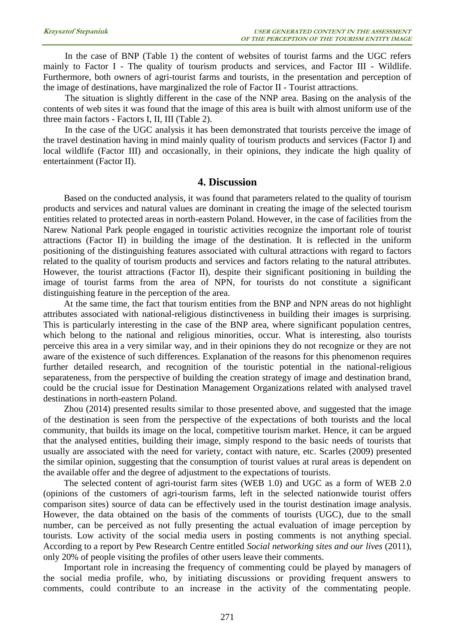In the case of BNP (Table 1) the content of websites of tourist farms and the UGC refers mainly to Factor I - The quality of tourism products and services, and Factor III - Wildlife. Furthermore, both owners of agri-tourist farms and tourists, in the presentation and perception of the image of destinations, have marginalized the role of Factor II - Tourist attractions.

The situation is slightly different in the case of the NNP area. Basing on the analysis of the contents of web sites it was found that the image of this area is built with almost uniform use of the three main factors - Factors I, II, III (Table 2).

In the case of the UGC analysis it has been demonstrated that tourists perceive the image of the travel destination having in mind mainly quality of tourism products and services (Factor I) and local wildlife (Factor III) and occasionally, in their opinions, they indicate the high quality of entertainment (Factor II).

## **4. Discussion**

Based on the conducted analysis, it was found that parameters related to the quality of tourism products and services and natural values are dominant in creating the image of the selected tourism entities related to protected areas in north-eastern Poland. However, in the case of facilities from the Narew National Park people engaged in touristic activities recognize the important role of tourist attractions (Factor II) in building the image of the destination. It is reflected in the uniform positioning of the distinguishing features associated with cultural attractions with regard to factors related to the quality of tourism products and services and factors relating to the natural attributes. However, the tourist attractions (Factor II), despite their significant positioning in building the image of tourist farms from the area of NPN, for tourists do not constitute a significant distinguishing feature in the perception of the area.

At the same time, the fact that tourism entities from the BNP and NPN areas do not highlight attributes associated with national-religious distinctiveness in building their images is surprising. This is particularly interesting in the case of the BNP area, where significant population centres, which belong to the national and religious minorities, occur. What is interesting, also tourists perceive this area in a very similar way, and in their opinions they do not recognize or they are not aware of the existence of such differences. Explanation of the reasons for this phenomenon requires further detailed research, and recognition of the touristic potential in the national-religious separateness, from the perspective of building the creation strategy of image and destination brand, could be the crucial issue for Destination Management Organizations related with analysed travel destinations in north-eastern Poland.

Zhou (2014) presented results similar to those presented above, and suggested that the image of the destination is seen from the perspective of the expectations of both tourists and the local community, that builds its image on the local, competitive tourism market. Hence, it can be argued that the analysed entities, building their image, simply respond to the basic needs of tourists that usually are associated with the need for variety, contact with nature, etc. Scarles (2009) presented the similar opinion, suggesting that the consumption of tourist values at rural areas is dependent on the available offer and the degree of adjustment to the expectations of tourists.

The selected content of agri-tourist farm sites (WEB 1.0) and UGC as a form of WEB 2.0 (opinions of the customers of agri-tourism farms, left in the selected nationwide tourist offers comparison sites) source of data can be effectively used in the tourist destination image analysis. However, the data obtained on the basis of the comments of tourists (UGC), due to the small number, can be perceived as not fully presenting the actual evaluation of image perception by tourists. Low activity of the social media users in posting comments is not anything special. According to a report by Pew Research Centre entitled *Social networking sites and our lives* (2011), only 20% of people visiting the profiles of other users leave their comments.

Important role in increasing the frequency of commenting could be played by managers of the social media profile, who, by initiating discussions or providing frequent answers to comments, could contribute to an increase in the activity of the commentating people.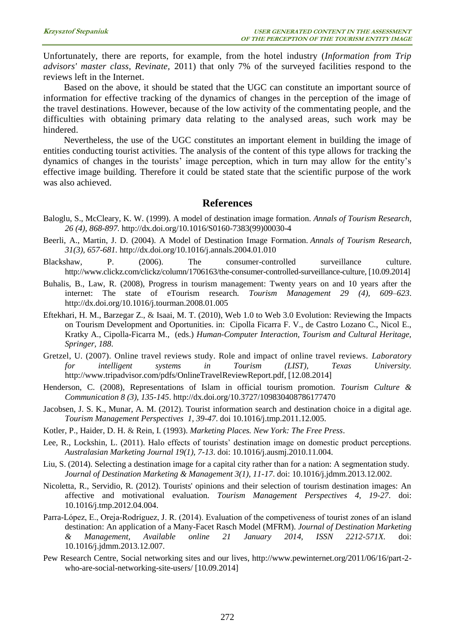Unfortunately, there are reports, for example, from the hotel industry (*Information from Trip advisors' master class, Revinate,* 2011) that only 7% of the surveyed facilities respond to the reviews left in the Internet.

Based on the above, it should be stated that the UGC can constitute an important source of information for effective tracking of the dynamics of changes in the perception of the image of the travel destinations. However, because of the low activity of the commentating people, and the difficulties with obtaining primary data relating to the analysed areas, such work may be hindered.

Nevertheless, the use of the UGC constitutes an important element in building the image of entities conducting tourist activities. The analysis of the content of this type allows for tracking the dynamics of changes in the tourists' image perception, which in turn may allow for the entity's effective image building. Therefore it could be stated state that the scientific purpose of the work was also achieved.

#### **References**

- Baloglu, S., McCleary, K. W. (1999). A model of destination image formation. *Annals of Tourism Research, 26 (4), 868-897.* [http://dx.doi.org/10.1016/S0160-7383\(99\)00030-4](http://dx.doi.org/10.1016/S0160-7383(99)00030-4)
- Beerli, A., Martin, J. D. (2004). A Model of Destination Image Formation. *Annals of Tourism Research, 31(3), 657-681.* <http://dx.doi.org/10.1016/j.annals.2004.01.010>
- Blackshaw, P. (2006). The consumer-controlled surveillance culture. http://www.clickz.com/clickz/column/1706163/the-consumer-controlled-surveillance-culture, [10.09.2014]
- Buhalis, B., Law, R. (2008), Progress in tourism management: Twenty years on and 10 years after the internet: The state of eTourism research*. Tourism Management 29 (4), 609–623*. <http://dx.doi.org/10.1016/j.tourman.2008.01.005>
- Eftekhari, H. M., Barzegar Z., & Isaai, M. T. (2010), Web 1.0 to Web 3.0 Evolution: Reviewing the Impacts on Tourism Development and Oportunities. in: Cipolla Ficarra F. V., de Castro Lozano C., Nicol E., Kratky A., Cipolla-Ficarra M., (eds.) *Human-Computer Interaction, Tourism and Cultural Heritage, Springer, 188*.
- Gretzel, U. (2007). Online travel reviews study. Role and impact of online travel reviews. *Laboratory for intelligent systems in Tourism (LIST), Texas University.* http://www.tripadvisor.com/pdfs/OnlineTravelReviewReport.pdf, [12.08.2014]
- Henderson, C. (2008), Representations of Islam in official tourism promotion. *Tourism Culture & Communication 8 (3), 135-145*. <http://dx.doi.org/10.3727/109830408786177470>
- Jacobsen, J. S. K., Munar, A. M. (2012). Tourist information search and destination choice in a digital age. *Tourism Management Perspectives 1, 39-47*. doi 10.1016/j.tmp.2011.12.005.
- Kotler, P., Haider, D. H. & Rein, I. (1993). *Marketing Places. New York: The Free Press*.
- Lee, R., Lockshin, L. (2011). Halo effects of tourists' destination image on domestic product perceptions. *Australasian Marketing Journal 19(1), 7-13*. doi: 10.1016/j.ausmj.2010.11.004.
- Liu, S. (2014). Selecting a destination image for a capital city rather than for a nation: A segmentation study. *Journal of Destination Marketing & Management 3(1), 11-17*. doi: 10.1016/j.jdmm.2013.12.002.
- Nicoletta, R., Servidio, R. (2012). Tourists' opinions and their selection of tourism destination images: An affective and motivational evaluation. *Tourism Management Perspectives 4, 19-27*. doi: 10.1016/j.tmp.2012.04.004.
- Parra-López, E., Oreja-Rodríguez, J. R. (2014). Evaluation of the competiveness of tourist zones of an island destination: An application of a Many-Facet Rasch Model (MFRM). *Journal of Destination Marketing & Management, Available online 21 January 2014, ISSN 2212-571X.* doi: 10.1016/j.jdmm.2013.12.007.
- Pew Research Centre, Social networking sites and our lives, http://www.pewinternet.org/2011/06/16/part-2 who-are-social-networking-site-users/ [10.09.2014]